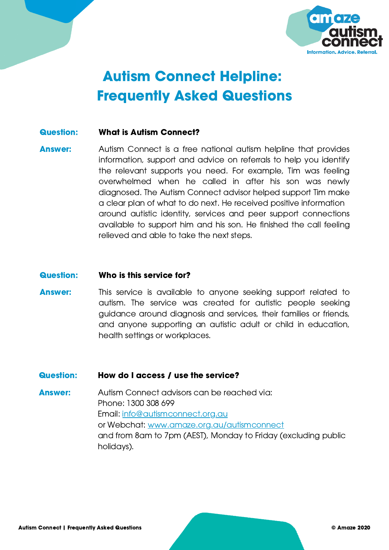

# Autism Connect Helpline: Frequently Asked Questions

## Question: What is Autism Connect?

Answer: Autism Connect is a free national autism helpline that provides information, support and advice on referrals to help you identify the relevant supports you need. For example, Tim was feeling overwhelmed when he called in after his son was newly diagnosed. The Autism Connect advisor helped support Tim make a clear plan of what to do next. He received positive information around autistic identity, services and peer support connections available to support him and his son. He finished the call feeling relieved and able to take the next steps.

#### Question: Who is this service for?

Answer: This service is available to anyone seeking support related to autism. The service was created for autistic people seeking guidance around diagnosis and services, their families or friends, and anyone supporting an autistic adult or child in education, health settings or workplaces.

### Question: How do I access / use the service?

Answer: Autism Connect advisors can be reached via: Phone: 1300 308 699 Email: [info@autismconnect.org.au](http://autismconnect.org.au/) or Webchat: [www.amaze.org.au/autismconnect](http://www.amaze.org.au/autismconnect) and from 8am to 7pm (AEST), Monday to Friday (excluding public holidays).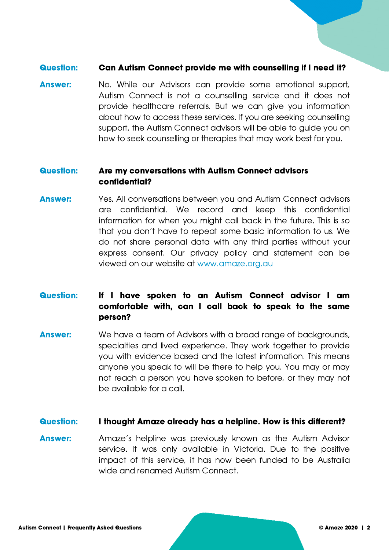## Question: Can Autism Connect provide me with counselling if I need it?

Answer: No. While our Advisors can provide some emotional support, Autism Connect is not a counselling service and it does not provide healthcare referrals. But we can give you information about how to access these services. If you are seeking counselling support, the Autism Connect advisors will be able to guide you on how to seek counselling or therapies that may work best for you.

## Question: Are my conversations with Autism Connect advisors confidential?

Answer: Yes. All conversations between you and Autism Connect advisors are confidential. We record and keep this confidential information for when you might call back in the future. This is so that you don't have to repeat some basic information to us. We do not share personal data with any third parties without your express consent. Our privacy policy and statement can be viewed on our website at [www.amaze.org.au](https://www.amaze.org.au/about-amaze/privacy-policy/#:~:text=Amaze%20respects%20the%20privacy%20of,that%20is%20provided%20to%20us.&text=clearly%20communicate%20the%20personal%20information%20handling%20practices%20of%20Amaze)

## Question: If I have spoken to an Autism Connect advisor I am comfortable with, can I call back to speak to the same person?

Answer: We have a team of Advisors with a broad range of backgrounds, specialties and lived experience. They work together to provide you with evidence based and the latest information. This means anyone you speak to will be there to help you. You may or may not reach a person you have spoken to before, or they may not be available for a call.

### Question: I thought Amaze already has a helpline. How is this different?

Answer: Amaze's helpline was previously known as the Autism Advisor service. It was only available in Victoria. Due to the positive impact of this service, it has now been funded to be Australia wide and renamed Autism Connect.